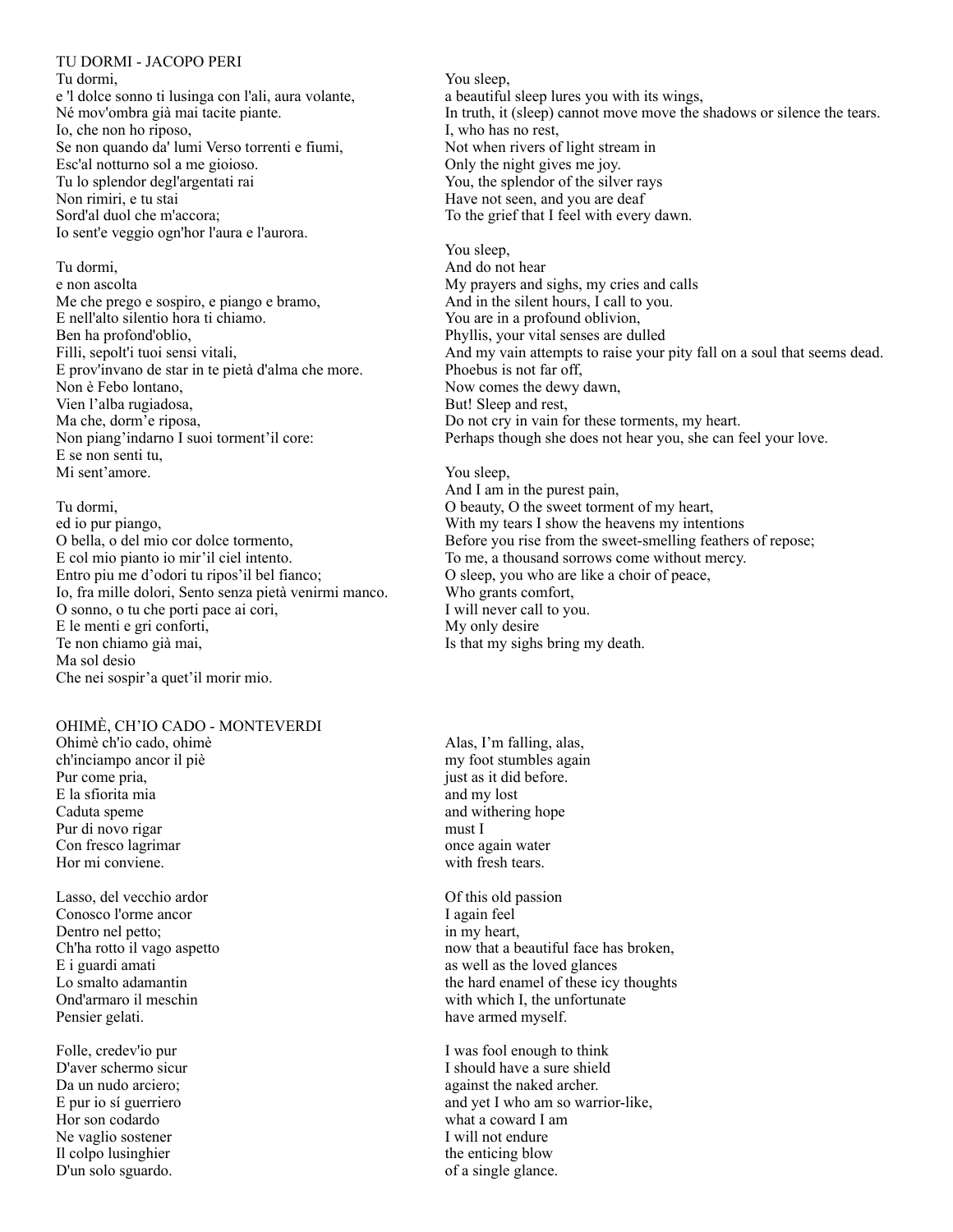#### TU DORMI - JACOPO PERI

Tu dormi, e 'l dolce sonno ti lusinga con l'ali, aura volante, Né mov'ombra già mai tacite piante. Io, che non ho riposo, Se non quando da' lumi Verso torrenti e fiumi, Esc'al notturno sol a me gioioso. Tu lo splendor degl'argentati rai Non rimiri, e tu stai Sord'al duol che m'accora; Io sent'e veggio ogn'hor l'aura e l'aurora.

## Tu dormi,

e non ascolta Me che prego e sospiro, e piango e bramo, E nell'alto silentio hora ti chiamo. Ben ha profond'oblio, Filli, sepolt'i tuoi sensi vitali, E prov'invano de star in te pietà d'alma che more. Non è Febo lontano, Vien l'alba rugiadosa, Ma che, dorm'e riposa, Non piang'indarno I suoi torment'il core: E se non senti tu, Mi sent'amore.

Tu dormi, ed io pur piango, O bella, o del mio cor dolce tormento, E col mio pianto io mir'il ciel intento. Entro piu me d'odori tu ripos'il bel fianco; Io, fra mille dolori, Sento senza pietà venirmi manco. O sonno, o tu che porti pace ai cori, E le menti e gri conforti, Te non chiamo già mai, Ma sol desio Che nei sospir'a quet'il morir mio.

## OHIMÈ, CH'IO CADO - MONTEVERDI

Ohimè ch'io cado, ohimè ch'inciampo ancor il piè Pur come pria, E la sfiorita mia Caduta speme Pur di novo rigar Con fresco lagrimar Hor mi conviene.

Lasso, del vecchio ardor Conosco l'orme ancor Dentro nel petto; Ch'ha rotto il vago aspetto E i guardi amati Lo smalto adamantin Ond'armaro il meschin Pensier gelati.

Folle, credev'io pur D'aver schermo sicur Da un nudo arciero; E pur io sí guerriero Hor son codardo Ne vaglio sostener Il colpo lusinghier D'un solo sguardo.

You sleep, a beautiful sleep lures you with its wings, In truth, it (sleep) cannot move move the shadows or silence the tears. I, who has no rest, Not when rivers of light stream in Only the night gives me joy. You, the splendor of the silver rays Have not seen, and you are deaf To the grief that I feel with every dawn.

You sleep, And do not hear My prayers and sighs, my cries and calls And in the silent hours, I call to you. You are in a profound oblivion, Phyllis, your vital senses are dulled And my vain attempts to raise your pity fall on a soul that seems dead. Phoebus is not far off, Now comes the dewy dawn, But! Sleep and rest, Do not cry in vain for these torments, my heart. Perhaps though she does not hear you, she can feel your love.

You sleep, And I am in the purest pain, O beauty, O the sweet torment of my heart, With my tears I show the heavens my intentions Before you rise from the sweet-smelling feathers of repose; To me, a thousand sorrows come without mercy. O sleep, you who are like a choir of peace, Who grants comfort, I will never call to you. My only desire Is that my sighs bring my death.

Alas, I'm falling, alas, my foot stumbles again just as it did before. and my lost and withering hope must I once again water with fresh tears.

Of this old passion I again feel in my heart, now that a beautiful face has broken, as well as the loved glances the hard enamel of these icy thoughts with which I, the unfortunate have armed myself.

I was fool enough to think I should have a sure shield against the naked archer. and yet I who am so warrior-like, what a coward I am I will not endure the enticing blow of a single glance.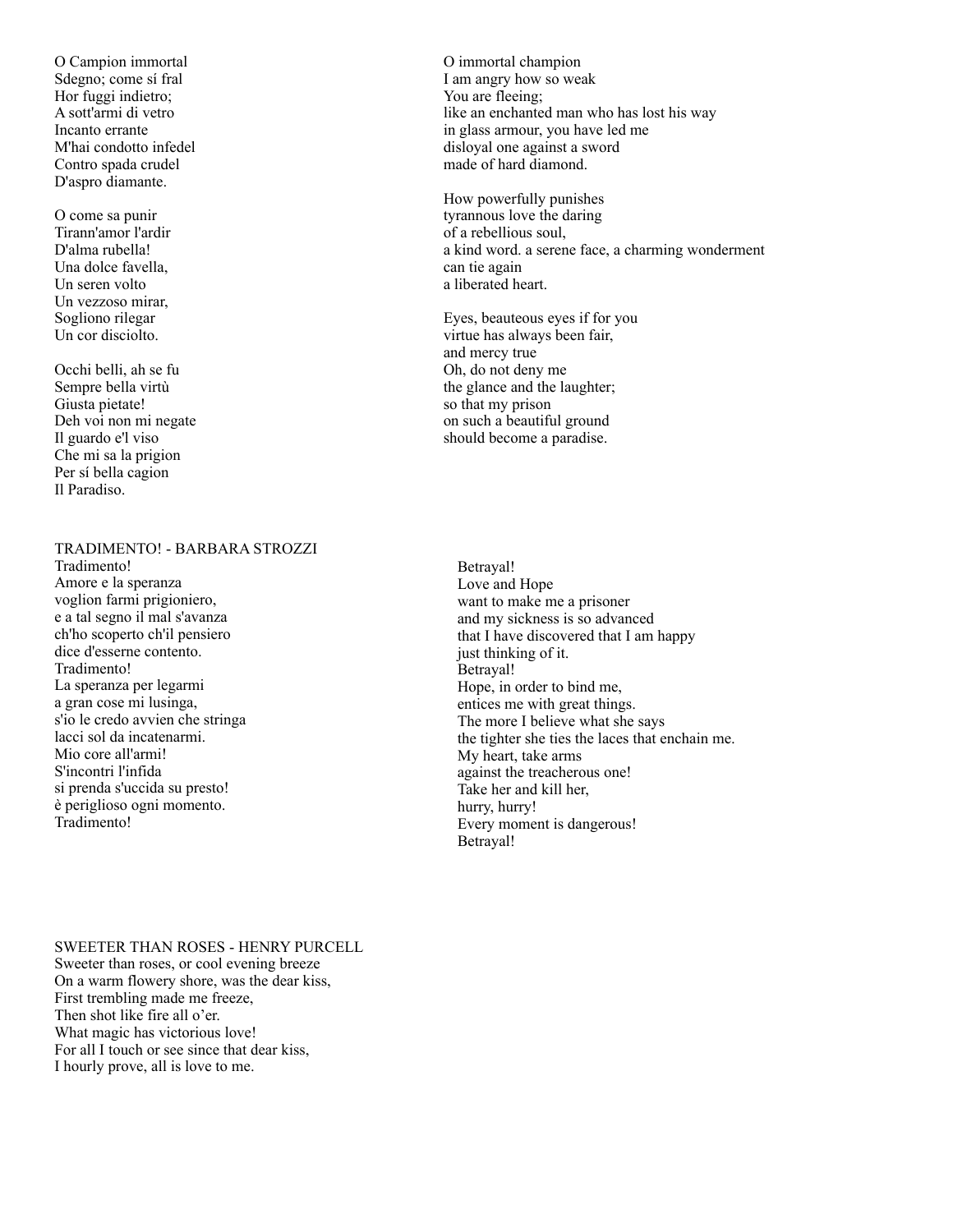O Campion immortal Sdegno; come sí fral Hor fuggi indietro; A sott'armi di vetro Incanto errante M'hai condotto infedel Contro spada crudel D'aspro diamante.

O come sa punir Tirann'amor l'ardir D'alma rubella! Una dolce favella, Un seren volto Un vezzoso mirar, Sogliono rilegar Un cor disciolto.

Occhi belli, ah se fu Sempre bella virtù Giusta pietate! Deh voi non mi negate Il guardo e'l viso Che mi sa la prigion Per sí bella cagion Il Paradiso.

# TRADIMENTO! - BARBARA STROZZI

Tradimento! Amore e la speranza voglion farmi prigioniero, e a tal segno il mal s'avanza ch'ho scoperto ch'il pensiero dice d'esserne contento. Tradimento! La speranza per legarmi a gran cose mi lusinga, s'io le credo avvien che stringa lacci sol da incatenarmi. Mio core all'armi! S'incontri l'infida si prenda s'uccida su presto! è periglioso ogni momento. Tradimento!

O immortal champion I am angry how so weak You are fleeing: like an enchanted man who has lost his way in glass armour, you have led me disloyal one against a sword made of hard diamond.

How powerfully punishes tyrannous love the daring of a rebellious soul, a kind word. a serene face, a charming wonderment can tie again a liberated heart.

Eyes, beauteous eyes if for you virtue has always been fair, and mercy true Oh, do not deny me the glance and the laughter; so that my prison on such a beautiful ground should become a paradise.

Betrayal! Love and Hope want to make me a prisoner and my sickness is so advanced that I have discovered that I am happy just thinking of it. Betrayal! Hope, in order to bind me, entices me with great things. The more I believe what she says the tighter she ties the laces that enchain me. My heart, take arms against the treacherous one! Take her and kill her, hurry, hurry! Every moment is dangerous! Betrayal!

SWEETER THAN ROSES - HENRY PURCELL Sweeter than roses, or cool evening breeze On a warm flowery shore, was the dear kiss, First trembling made me freeze,

Then shot like fire all o'er. What magic has victorious love! For all I touch or see since that dear kiss, I hourly prove, all is love to me.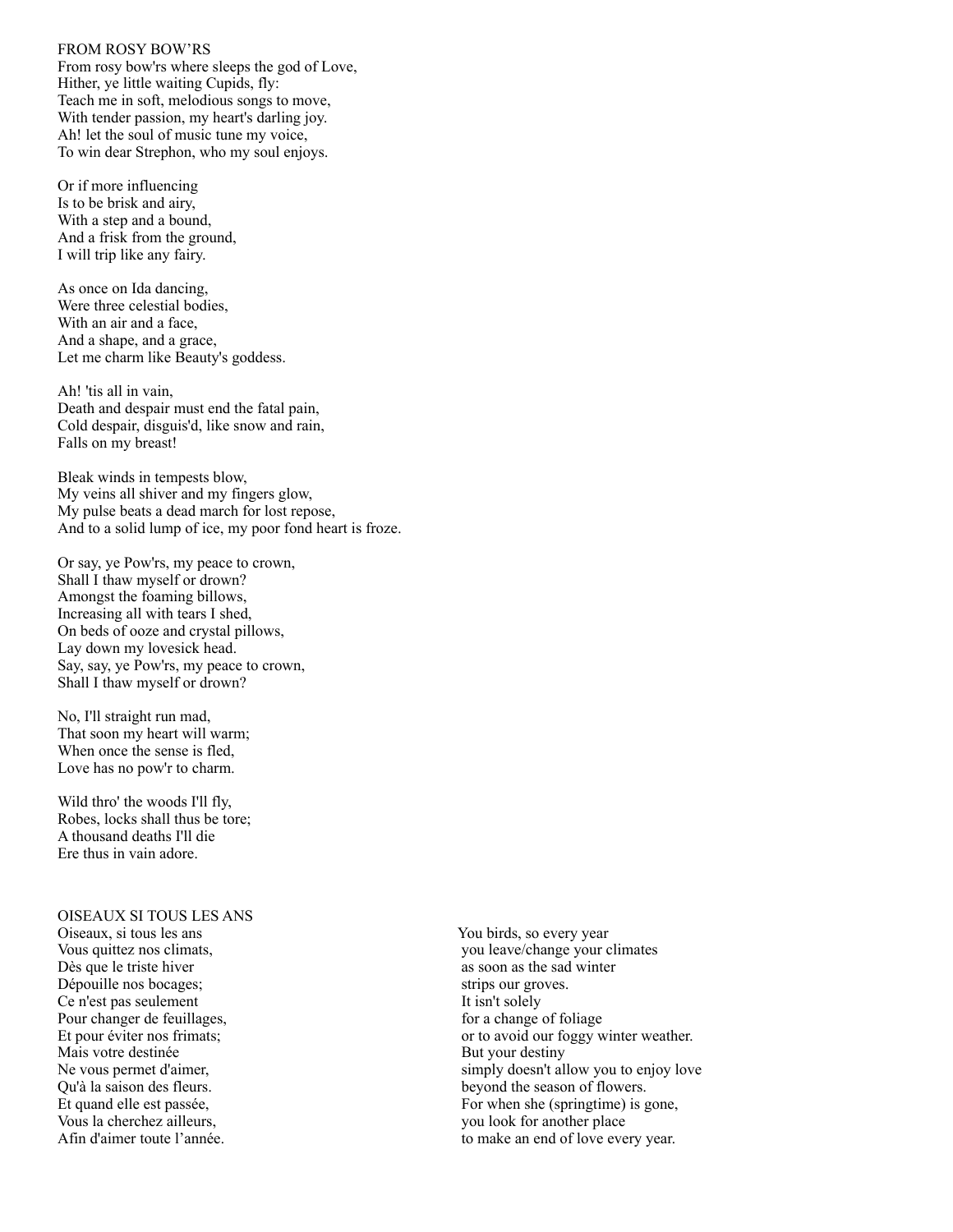## FROM ROSY BOW'RS

From rosy bow'rs where sleeps the god of Love, Hither, ye little waiting Cupids, fly: Teach me in soft, melodious songs to move, With tender passion, my heart's darling joy. Ah! let the soul of music tune my voice, To win dear Strephon, who my soul enjoys.

Or if more influencing Is to be brisk and airy, With a step and a bound, And a frisk from the ground, I will trip like any fairy.

As once on Ida dancing, Were three celestial bodies, With an air and a face, And a shape, and a grace, Let me charm like Beauty's goddess.

Ah! 'tis all in vain, Death and despair must end the fatal pain, Cold despair, disguis'd, like snow and rain, Falls on my breast!

Bleak winds in tempests blow, My veins all shiver and my fingers glow, My pulse beats a dead march for lost repose, And to a solid lump of ice, my poor fond heart is froze.

Or say, ye Pow'rs, my peace to crown, Shall I thaw myself or drown? Amongst the foaming billows, Increasing all with tears I shed, On beds of ooze and crystal pillows, Lay down my lovesick head. Say, say, ye Pow'rs, my peace to crown, Shall I thaw myself or drown?

No, I'll straight run mad, That soon my heart will warm; When once the sense is fled, Love has no pow'r to charm.

Wild thro' the woods I'll fly, Robes, locks shall thus be tore; A thousand deaths I'll die Ere thus in vain adore.

#### OISEAUX SI TOUS LES ANS

Oiseaux, si tous les ans Vous quittez nos climats, Dès que le triste hiver Dépouille nos bocages; Ce n'est pas seulement Pour changer de feuillages, Et pour éviter nos frimats; Mais votre destinée Ne vous permet d'aimer, Qu'à la saison des fleurs. Et quand elle est passée, Vous la cherchez ailleurs, Afin d'aimer toute l'année.

You birds, so every year you leave/change your climates as soon as the sad winter strips our groves. It isn't solely for a change of foliage or to avoid our foggy winter weather. But your destiny simply doesn't allow you to enjoy love beyond the season of flowers. For when she (springtime) is gone, you look for another place to make an end of love every year.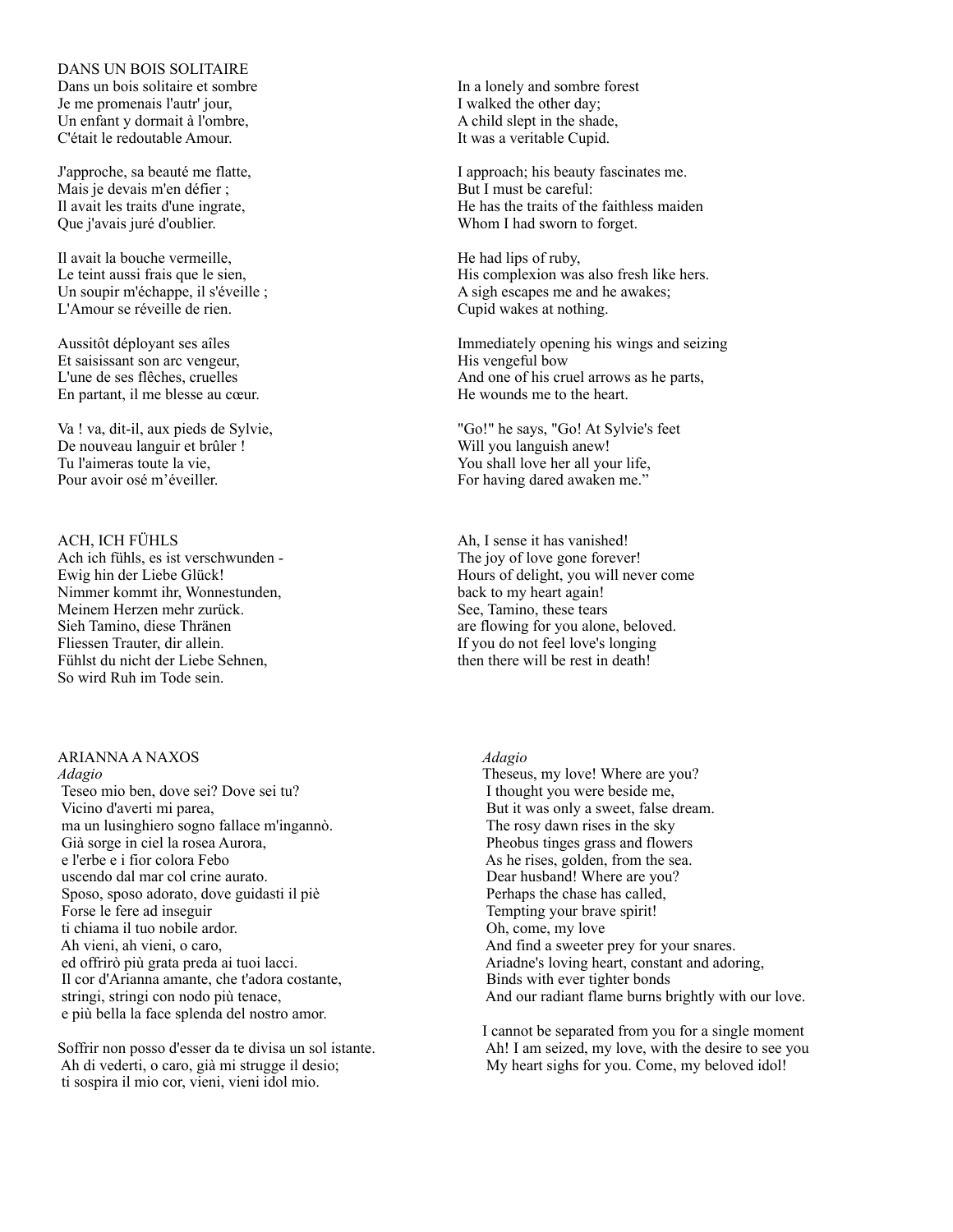## DANS UN BOIS SOLITAIRE

Dans un bois solitaire et sombre Je me promenais l'autr' jour, Un enfant y dormait à l'ombre, C'était le redoutable Amour.

J'approche, sa beauté me flatte, Mais je devais m'en défier ; Il avait les traits d'une ingrate, Que j'avais juré d'oublier.

Il avait la bouche vermeille, Le teint aussi frais que le sien, Un soupir m'échappe, il s'éveille ; L'Amour se réveille de rien.

Aussitôt déployant ses aîles Et saisissant son arc vengeur, L'une de ses flêches, cruelles En partant, il me blesse au cœur.

Va ! va, dit-il, aux pieds de Sylvie, De nouveau languir et brûler ! Tu l'aimeras toute la vie, Pour avoir osé m'éveiller.

ACH, ICH FÜHLS Ach ich fühls, es ist verschwunden - Ewig hin der Liebe Glück! Nimmer kommt ihr, Wonnestunden, Meinem Herzen mehr zurück. Sieh Tamino, diese Thränen Fliessen Trauter, dir allein. Fühlst du nicht der Liebe Sehnen, So wird Ruh im Tode sein.

#### ARIANNA A NAXOS *Adagio*

 Teseo mio ben, dove sei? Dove sei tu? Vicino d'averti mi parea, ma un lusinghiero sogno fallace m'ingannò. Già sorge in ciel la rosea Aurora, e l'erbe e i fior colora Febo uscendo dal mar col crine aurato. Sposo, sposo adorato, dove guidasti il piè Forse le fere ad inseguir ti chiama il tuo nobile ardor. Ah vieni, ah vieni, o caro, ed offrirò più grata preda ai tuoi lacci. Il cor d'Arianna amante, che t'adora costante, stringi, stringi con nodo più tenace, e più bella la face splenda del nostro amor.

Soffrir non posso d'esser da te divisa un sol istante. Ah di vederti, o caro, già mi strugge il desio; ti sospira il mio cor, vieni, vieni idol mio.

In a lonely and sombre forest I walked the other day; A child slept in the shade, It was a veritable Cupid.

I approach; his beauty fascinates me. But I must be careful: He has the traits of the faithless maiden Whom I had sworn to forget.

He had lips of ruby, His complexion was also fresh like hers. A sigh escapes me and he awakes; Cupid wakes at nothing.

Immediately opening his wings and seizing His vengeful bow And one of his cruel arrows as he parts, He wounds me to the heart.

"Go!" he says, "Go! At Sylvie's feet Will you languish anew! You shall love her all your life, For having dared awaken me."

Ah, I sense it has vanished! The joy of love gone forever! Hours of delight, you will never come back to my heart again! See, Tamino, these tears are flowing for you alone, beloved. If you do not feel love's longing then there will be rest in death!

## *Adagio*

Theseus, my love! Where are you? I thought you were beside me, But it was only a sweet, false dream. The rosy dawn rises in the sky Pheobus tinges grass and flowers As he rises, golden, from the sea. Dear husband! Where are you? Perhaps the chase has called, Tempting your brave spirit! Oh, come, my love And find a sweeter prey for your snares. Ariadne's loving heart, constant and adoring, Binds with ever tighter bonds And our radiant flame burns brightly with our love.

I cannot be separated from you for a single moment Ah! I am seized, my love, with the desire to see you My heart sighs for you. Come, my beloved idol!